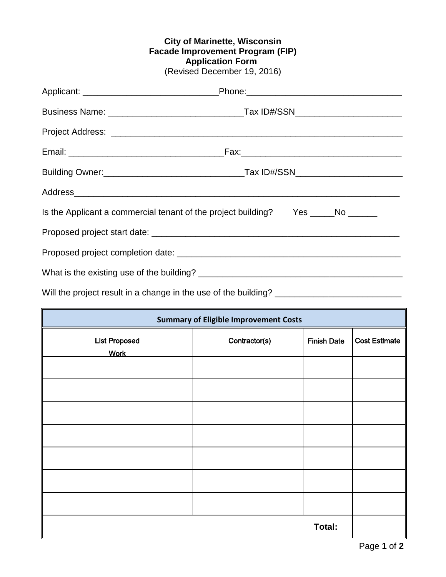## **City of Marinette, Wisconsin Facade Improvement Program (FIP) Application Form** (Revised December 19, 2016)

|                                                                                  | Applicant: ___________________________________Phone:_____________________________ |
|----------------------------------------------------------------------------------|-----------------------------------------------------------------------------------|
|                                                                                  |                                                                                   |
|                                                                                  |                                                                                   |
|                                                                                  |                                                                                   |
|                                                                                  |                                                                                   |
|                                                                                  |                                                                                   |
| Is the Applicant a commercial tenant of the project building? Yes _____No ______ |                                                                                   |
|                                                                                  |                                                                                   |
|                                                                                  |                                                                                   |
|                                                                                  |                                                                                   |
|                                                                                  |                                                                                   |

Will the project result in a change in the use of the building? \_\_\_\_\_\_\_\_\_\_\_\_\_\_\_\_\_\_\_\_\_\_\_

| <b>Summary of Eligible Improvement Costs</b> |               |                    |                      |
|----------------------------------------------|---------------|--------------------|----------------------|
| <b>List Proposed</b><br><b>Work</b>          | Contractor(s) | <b>Finish Date</b> | <b>Cost Estimate</b> |
|                                              |               |                    |                      |
|                                              |               |                    |                      |
|                                              |               |                    |                      |
|                                              |               |                    |                      |
|                                              |               |                    |                      |
|                                              |               |                    |                      |
|                                              |               |                    |                      |
| Total:                                       |               |                    |                      |